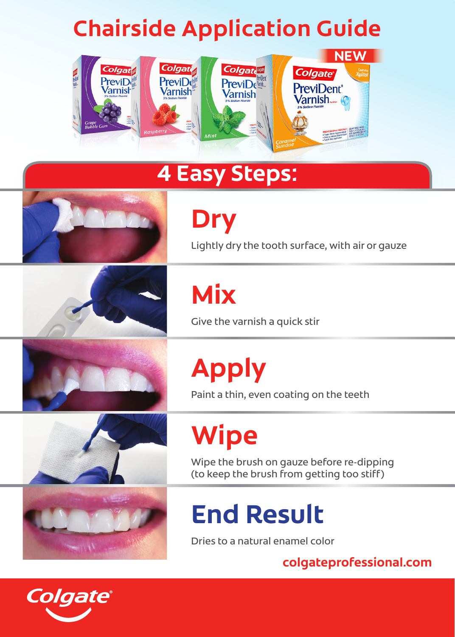## **Chairside Application Guide**



### **4 Easy Steps:**



**Dry**

Lightly dry the tooth surface, with air or gauze

**Mix**



Give the varnish a quick stir



**Apply**

Paint a thin, even coating on the teeth

**Wipe**

Wipe the brush on gauze before re-dipping (to keep the brush from getting too stiff)

# **End Result**

Dries to a natural enamel color

**colgateprofessional.com**